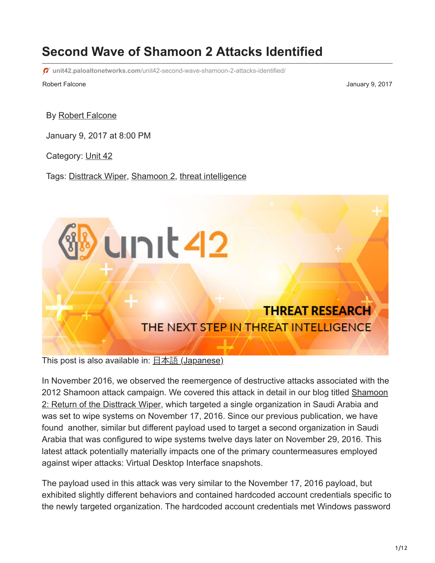## **Second Wave of Shamoon 2 Attacks Identified**

**unit42.paloaltonetworks.com**[/unit42-second-wave-shamoon-2-attacks-identified/](https://unit42.paloaltonetworks.com/unit42-second-wave-shamoon-2-attacks-identified/)

Robert Falcone **Value 2017** January 9, 2017

By [Robert Falcone](https://unit42.paloaltonetworks.com/author/robertfalcone/)

January 9, 2017 at 8:00 PM

Category: [Unit 42](https://unit42.paloaltonetworks.com/category/unit42/)

Tags: [Disttrack Wiper](https://unit42.paloaltonetworks.com/tag/disttrack-wiper/), [Shamoon 2,](https://unit42.paloaltonetworks.com/tag/shamoon-2/) [threat intelligence](https://unit42.paloaltonetworks.com/tag/threat-intelligence/)



This post is also available in:  $\underline{\Box}$   $\underline{\Diamond}$   $\underline{\Diamond}$   $\underline{\Diamond}$  ( $\underline{\Diamond}$   $\underline{\Diamond}$   $\underline{\Diamond}$ )

In November 2016, we observed the reemergence of destructive attacks associated with the [2012 Shamoon attack campaign. We covered this attack in detail in our blog titled Shamoon](https://blog.paloaltonetworks.com/2016/11/unit42-shamoon-2-return-disttrack-wiper/) 2: Return of the Disttrack Wiper, which targeted a single organization in Saudi Arabia and was set to wipe systems on November 17, 2016. Since our previous publication, we have found another, similar but different payload used to target a second organization in Saudi Arabia that was configured to wipe systems twelve days later on November 29, 2016. This latest attack potentially materially impacts one of the primary countermeasures employed against wiper attacks: Virtual Desktop Interface snapshots.

The payload used in this attack was very similar to the November 17, 2016 payload, but exhibited slightly different behaviors and contained hardcoded account credentials specific to the newly targeted organization. The hardcoded account credentials met Windows password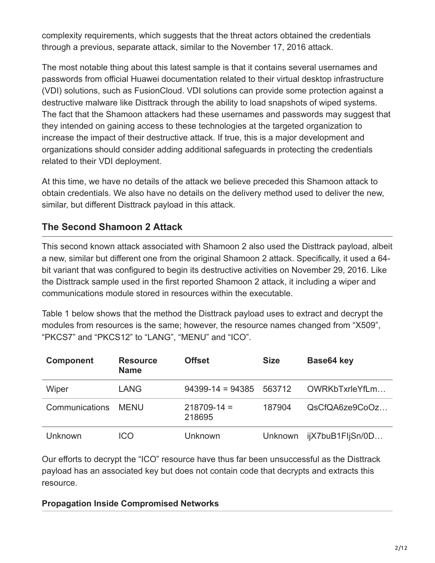complexity requirements, which suggests that the threat actors obtained the credentials through a previous, separate attack, similar to the November 17, 2016 attack.

The most notable thing about this latest sample is that it contains several usernames and passwords from official Huawei documentation related to their virtual desktop infrastructure (VDI) solutions, such as FusionCloud. VDI solutions can provide some protection against a destructive malware like Disttrack through the ability to load snapshots of wiped systems. The fact that the Shamoon attackers had these usernames and passwords may suggest that they intended on gaining access to these technologies at the targeted organization to increase the impact of their destructive attack. If true, this is a major development and organizations should consider adding additional safeguards in protecting the credentials related to their VDI deployment.

At this time, we have no details of the attack we believe preceded this Shamoon attack to obtain credentials. We also have no details on the delivery method used to deliver the new, similar, but different Disttrack payload in this attack.

## **The Second Shamoon 2 Attack**

This second known attack associated with Shamoon 2 also used the Disttrack payload, albeit a new, similar but different one from the original Shamoon 2 attack. Specifically, it used a 64 bit variant that was configured to begin its destructive activities on November 29, 2016. Like the Disttrack sample used in the first reported Shamoon 2 attack, it including a wiper and communications module stored in resources within the executable.

Table 1 below shows that the method the Disttrack payload uses to extract and decrypt the modules from resources is the same; however, the resource names changed from "X509", "PKCS7" and "PKCS12" to "LANG", "MENU" and "ICO".

| <b>Component</b> | <b>Resource</b><br><b>Name</b> | <b>Offset</b>             | <b>Size</b> | Base64 key       |
|------------------|--------------------------------|---------------------------|-------------|------------------|
| Wiper            | LANG                           | $94399-14 = 94385$        | 563712      | OWRKbTxrleYfLm   |
| Communications   | MENU                           | $218709 - 14 =$<br>218695 | 187904      | QsCfQA6ze9CoOz   |
| Unknown          | ICO                            | Unknown                   | Unknown     | ijX7buB1FljSn/0D |

Our efforts to decrypt the "ICO" resource have thus far been unsuccessful as the Disttrack payload has an associated key but does not contain code that decrypts and extracts this resource.

### **Propagation Inside Compromised Networks**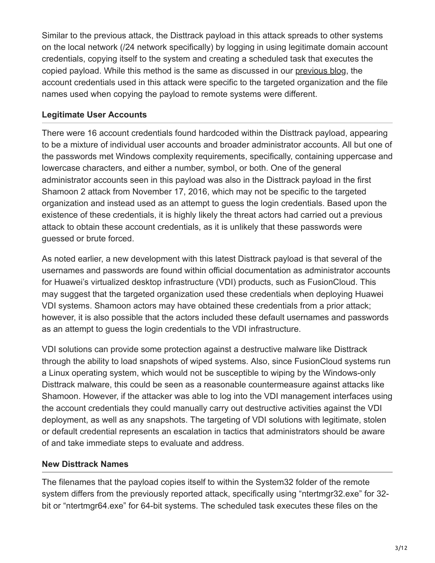Similar to the previous attack, the Disttrack payload in this attack spreads to other systems on the local network (/24 network specifically) by logging in using legitimate domain account credentials, copying itself to the system and creating a scheduled task that executes the copied payload. While this method is the same as discussed in our [previous blog,](https://blog.paloaltonetworks.com/2016/11/unit42-shamoon-2-return-disttrack-wiper/) the account credentials used in this attack were specific to the targeted organization and the file names used when copying the payload to remote systems were different.

### **Legitimate User Accounts**

There were 16 account credentials found hardcoded within the Disttrack payload, appearing to be a mixture of individual user accounts and broader administrator accounts. All but one of the passwords met Windows complexity requirements, specifically, containing uppercase and lowercase characters, and either a number, symbol, or both. One of the general administrator accounts seen in this payload was also in the Disttrack payload in the first Shamoon 2 attack from November 17, 2016, which may not be specific to the targeted organization and instead used as an attempt to guess the login credentials. Based upon the existence of these credentials, it is highly likely the threat actors had carried out a previous attack to obtain these account credentials, as it is unlikely that these passwords were guessed or brute forced.

As noted earlier, a new development with this latest Disttrack payload is that several of the usernames and passwords are found within official documentation as administrator accounts for Huawei's virtualized desktop infrastructure (VDI) products, such as FusionCloud. This may suggest that the targeted organization used these credentials when deploying Huawei VDI systems. Shamoon actors may have obtained these credentials from a prior attack; however, it is also possible that the actors included these default usernames and passwords as an attempt to guess the login credentials to the VDI infrastructure.

VDI solutions can provide some protection against a destructive malware like Disttrack through the ability to load snapshots of wiped systems. Also, since FusionCloud systems run a Linux operating system, which would not be susceptible to wiping by the Windows-only Disttrack malware, this could be seen as a reasonable countermeasure against attacks like Shamoon. However, if the attacker was able to log into the VDI management interfaces using the account credentials they could manually carry out destructive activities against the VDI deployment, as well as any snapshots. The targeting of VDI solutions with legitimate, stolen or default credential represents an escalation in tactics that administrators should be aware of and take immediate steps to evaluate and address.

### **New Disttrack Names**

The filenames that the payload copies itself to within the System32 folder of the remote system differs from the previously reported attack, specifically using "ntertmgr32.exe" for 32 bit or "ntertmgr64.exe" for 64-bit systems. The scheduled task executes these files on the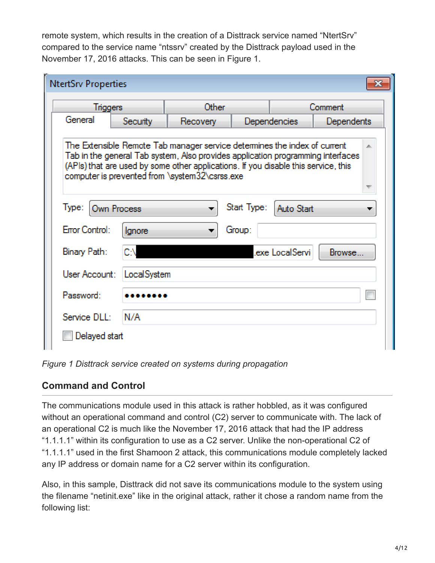remote system, which results in the creation of a Disttrack service named "NtertSrv" compared to the service name "ntssrv" created by the Disttrack payload used in the November 17, 2016 attacks. This can be seen in Figure 1.

| <b>NtertSrv Properties</b>                                                                                                                                                                                                                                                                           |             |              |        |                     |                   |  |  |  |  |  |  |
|------------------------------------------------------------------------------------------------------------------------------------------------------------------------------------------------------------------------------------------------------------------------------------------------------|-------------|--------------|--------|---------------------|-------------------|--|--|--|--|--|--|
| <b>Triggers</b>                                                                                                                                                                                                                                                                                      |             | <b>Other</b> |        | Comment             |                   |  |  |  |  |  |  |
| General                                                                                                                                                                                                                                                                                              | Security    | Recovery     |        | <b>Dependencies</b> | <b>Dependents</b> |  |  |  |  |  |  |
| The Extensible Remote Tab manager service determines the index of current<br>Tab in the general Tab system, Also provides application programming interfaces<br>(APIs) that are used by some other applications. If you disable this service, this<br>computer is prevented from \system32\csrss.exe |             |              |        |                     |                   |  |  |  |  |  |  |
| Start Type:<br>Type:<br>Auto Start<br>Own Process                                                                                                                                                                                                                                                    |             |              |        |                     |                   |  |  |  |  |  |  |
| <b>Error Control:</b>                                                                                                                                                                                                                                                                                | lgnore      |              | Group: |                     |                   |  |  |  |  |  |  |
| Binary Path:                                                                                                                                                                                                                                                                                         | C٨          |              |        | exe LocalServi      | Browse            |  |  |  |  |  |  |
| User Account:                                                                                                                                                                                                                                                                                        | LocalSystem |              |        |                     |                   |  |  |  |  |  |  |
| Password:                                                                                                                                                                                                                                                                                            |             |              |        |                     |                   |  |  |  |  |  |  |
| Service DLL:                                                                                                                                                                                                                                                                                         | 'N/A        |              |        |                     |                   |  |  |  |  |  |  |
| Delayed start                                                                                                                                                                                                                                                                                        |             |              |        |                     |                   |  |  |  |  |  |  |

*Figure 1 Disttrack service created on systems during propagation*

## **Command and Control**

The communications module used in this attack is rather hobbled, as it was configured without an operational command and control (C2) server to communicate with. The lack of an operational C2 is much like the November 17, 2016 attack that had the IP address "1.1.1.1" within its configuration to use as a C2 server. Unlike the non-operational C2 of "1.1.1.1" used in the first Shamoon 2 attack, this communications module completely lacked any IP address or domain name for a C2 server within its configuration.

Also, in this sample, Disttrack did not save its communications module to the system using the filename "netinit.exe" like in the original attack, rather it chose a random name from the following list: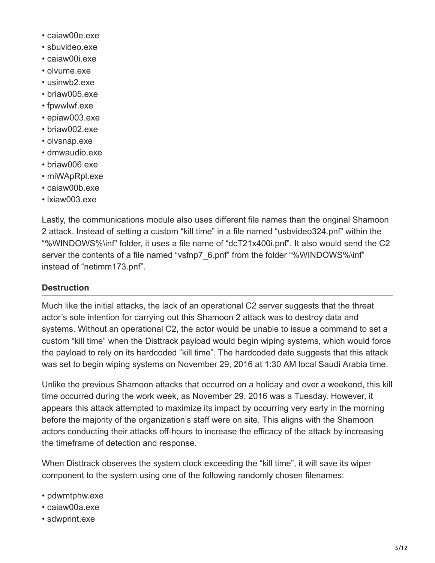- caiaw00e.exe
- sbuvideo.exe
- caiaw00i.exe
- olvume.exe
- usinwb2.exe
- briaw005.exe
- fpwwlwf.exe
- epiaw003.exe
- briaw002.exe
- olvsnap.exe
- dmwaudio.exe
- briaw006.exe
- miWApRpl.exe
- caiaw00b.exe
- lxiaw003.exe

Lastly, the communications module also uses different file names than the original Shamoon 2 attack. Instead of setting a custom "kill time" in a file named "usbvideo324.pnf" within the "%WINDOWS%\inf" folder, it uses a file name of "dcT21x400i.pnf". It also would send the C2 server the contents of a file named "vsfnp7 6.pnf" from the folder "%WINDOWS%\inf" instead of "netimm173.pnf".

### **Destruction**

Much like the initial attacks, the lack of an operational C2 server suggests that the threat actor's sole intention for carrying out this Shamoon 2 attack was to destroy data and systems. Without an operational C2, the actor would be unable to issue a command to set a custom "kill time" when the Disttrack payload would begin wiping systems, which would force the payload to rely on its hardcoded "kill time". The hardcoded date suggests that this attack was set to begin wiping systems on November 29, 2016 at 1:30 AM local Saudi Arabia time.

Unlike the previous Shamoon attacks that occurred on a holiday and over a weekend, this kill time occurred during the work week, as November 29, 2016 was a Tuesday. However, it appears this attack attempted to maximize its impact by occurring very early in the morning before the majority of the organization's staff were on site. This aligns with the Shamoon actors conducting their attacks off-hours to increase the efficacy of the attack by increasing the timeframe of detection and response.

When Disttrack observes the system clock exceeding the "kill time", it will save its wiper component to the system using one of the following randomly chosen filenames:

- pdwmtphw.exe
- caiaw00a.exe
- sdwprint.exe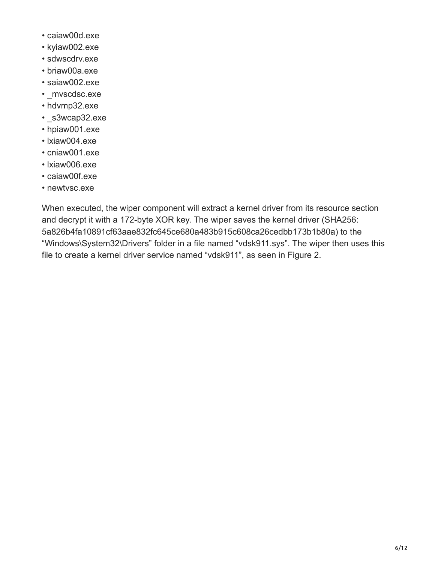- caiaw00d.exe
- kyiaw002.exe
- sdwscdrv.exe
- briaw00a.exe
- saiaw002.exe
- mvscdsc.exe
- hdvmp32.exe
- s3wcap32.exe
- hpiaw001.exe
- lxiaw004.exe
- cniaw001.exe
- lxiaw006.exe
- caiaw00f.exe
- newtvsc.exe

When executed, the wiper component will extract a kernel driver from its resource section and decrypt it with a 172-byte XOR key. The wiper saves the kernel driver (SHA256: 5a826b4fa10891cf63aae832fc645ce680a483b915c608ca26cedbb173b1b80a) to the "Windows\System32\Drivers" folder in a file named "vdsk911.sys". The wiper then uses this file to create a kernel driver service named "vdsk911", as seen in Figure 2.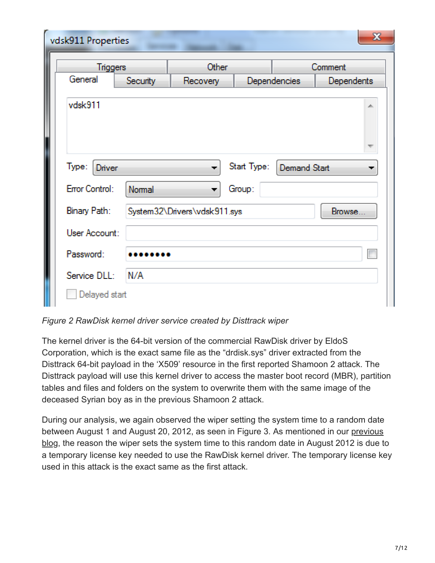| vdsk911 Properties                  |                |          |                              |             |                     |            | $\mathbf{x}$ |  |  |  |  |  |
|-------------------------------------|----------------|----------|------------------------------|-------------|---------------------|------------|--------------|--|--|--|--|--|
| Other<br>Comment<br><b>Triggers</b> |                |          |                              |             |                     |            |              |  |  |  |  |  |
| General                             |                | Security | Recovery                     |             | <b>Dependencies</b> | Dependents |              |  |  |  |  |  |
| vdsk911                             |                |          |                              |             |                     |            | À            |  |  |  |  |  |
|                                     |                |          |                              |             |                     |            |              |  |  |  |  |  |
| Type:                               | Driver         |          |                              | Start Type: | <b>Demand Start</b> |            |              |  |  |  |  |  |
|                                     | Error Control: | Normal   |                              | Group:      |                     |            |              |  |  |  |  |  |
|                                     | Binary Path:   |          | System32\Drivers\vdsk911.sys |             |                     | Browse     |              |  |  |  |  |  |
|                                     | User Account:  |          |                              |             |                     |            |              |  |  |  |  |  |
|                                     | Password:      |          |                              |             |                     |            |              |  |  |  |  |  |
|                                     | Service DLL:   | N/A      |                              |             |                     |            |              |  |  |  |  |  |

*Figure 2 RawDisk kernel driver service created by Disttrack wiper*

Delayed start

The kernel driver is the 64-bit version of the commercial RawDisk driver by EldoS Corporation, which is the exact same file as the "drdisk.sys" driver extracted from the Disttrack 64-bit payload in the 'X509' resource in the first reported Shamoon 2 attack. The Disttrack payload will use this kernel driver to access the master boot record (MBR), partition tables and files and folders on the system to overwrite them with the same image of the deceased Syrian boy as in the previous Shamoon 2 attack.

During our analysis, we again observed the wiper setting the system time to a random date [between August 1 and August 20, 2012, as seen in Figure 3. As mentioned in our previous](https://blog.paloaltonetworks.com/2016/11/unit42-shamoon-2-return-disttrack-wiper/) blog, the reason the wiper sets the system time to this random date in August 2012 is due to a temporary license key needed to use the RawDisk kernel driver. The temporary license key used in this attack is the exact same as the first attack.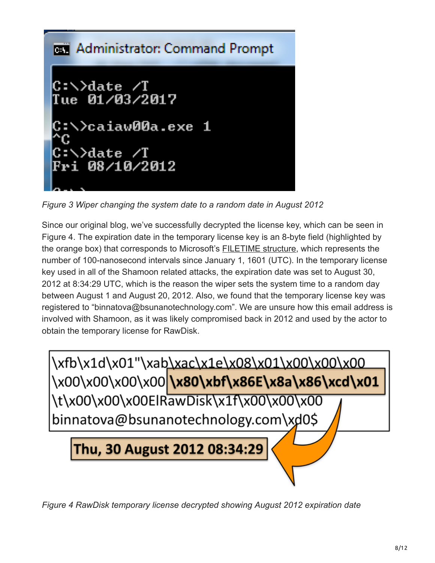

*Figure 3 Wiper changing the system date to a random date in August 2012*

Since our original blog, we've successfully decrypted the license key, which can be seen in Figure 4. The expiration date in the temporary license key is an 8-byte field (highlighted by the orange box) that corresponds to Microsoft's [FILETIME structure,](https://msdn.microsoft.com/en-us/library/windows/desktop/ms724284(v=vs.85).aspx) which represents the number of 100-nanosecond intervals since January 1, 1601 (UTC). In the temporary license key used in all of the Shamoon related attacks, the expiration date was set to August 30, 2012 at 8:34:29 UTC, which is the reason the wiper sets the system time to a random day between August 1 and August 20, 2012. Also, we found that the temporary license key was registered to "binnatova@bsunanotechnology.com". We are unsure how this email address is involved with Shamoon, as it was likely compromised back in 2012 and used by the actor to obtain the temporary license for RawDisk.

\xfb\x1d\x01"\xab<u>\xac\x1e\x08\x01\x00\x00\x00</u> \x00\x00\x00\x00<mark>|\x80\xbf\x86E\x8a\x86\xcd\x01</mark> \t\x00\x00\x00ElRawDisk\x1f\x00\x00\x00 binnatova@bsunanotechnology.com\xd0\$

# Thu, 30 August 2012 08:34:29

*Figure 4 RawDisk temporary license decrypted showing August 2012 expiration date*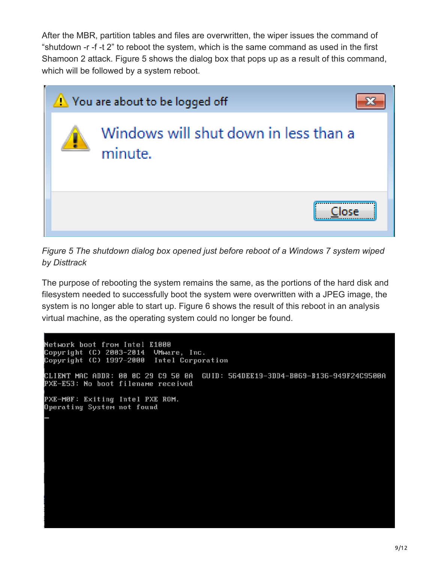After the MBR, partition tables and files are overwritten, the wiper issues the command of "shutdown -r -f -t 2" to reboot the system, which is the same command as used in the first Shamoon 2 attack. Figure 5 shows the dialog box that pops up as a result of this command, which will be followed by a system reboot.



*Figure 5 The shutdown dialog box opened just before reboot of a Windows 7 system wiped by Disttrack*

The purpose of rebooting the system remains the same, as the portions of the hard disk and filesystem needed to successfully boot the system were overwritten with a JPEG image, the system is no longer able to start up. Figure 6 shows the result of this reboot in an analysis virtual machine, as the operating system could no longer be found.

Network boot from Intel E1000 Copyright (C) 2003-2014 UMware, Inc. Copyright (C) 1997-2000 Intel Corporation GUID: 564DEE19-3DD4-B069-B136-949F24C9500A CLIENT MAC ADDR: 00 0C 29 C9 50 0A PXE-E53: No boot filename received PXE-M0F: Exiting Intel PXE ROM. Operating System not found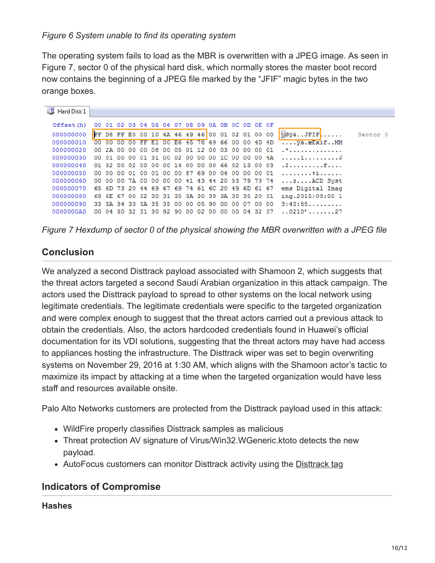### *Figure 6 System unable to find its operating system*

The operating system fails to load as the MBR is overwritten with a JPEG image. As seen in Figure 7, sector 0 of the physical hard disk, which normally stores the master boot record now contains the beginning of a JPEG file marked by the "JFIF" magic bytes in the two orange boxes.

| Hard Disk 1 |    |    |                                                 |  |  |  |  |  |  |                                                 |                                                         |  |
|-------------|----|----|-------------------------------------------------|--|--|--|--|--|--|-------------------------------------------------|---------------------------------------------------------|--|
| Offset (h)  |    |    | 00 01 02 03 04 05 06 07 08 09 0A 0B 0C 0D 0E 0F |  |  |  |  |  |  |                                                 |                                                         |  |
| 000000000   |    |    |                                                 |  |  |  |  |  |  | FF D8 FF E0 00 10 4A 46 49 46 00 01 02 01 00 00 | WØyàJFIF Sector 0                                       |  |
| 000000010   | 00 | ററ | 00 00 FF E1 00 E6 45 78 69 66 00 00 4D 4D       |  |  |  |  |  |  |                                                 | va.æExifMM                                              |  |
| 000000020   |    |    | 00 2A 00 00 00 08 00 05 01 12 00 03 00 00 00 01 |  |  |  |  |  |  |                                                 | . . *                                                   |  |
| 000000030   |    |    | 00 01 00 00 01 31 00 02 00 00 00 1C 00 00 00 4A |  |  |  |  |  |  |                                                 | . 1 J                                                   |  |
| 000000040   |    |    | 01 32 00 02 00 00 00 14 00 00 00 66 02 13 00 03 |  |  |  |  |  |  |                                                 | .2. f                                                   |  |
| 000000050   |    |    | 00 00 00 01 00 01 00 00 87 69 00 04 00 00 00 01 |  |  |  |  |  |  |                                                 | . <b>. .</b> 1                                          |  |
| 000000060   |    |    | 00 00 00 7A 00 00 00 00 41 43 44 20 53 79 73 74 |  |  |  |  |  |  |                                                 | $\ldots z \ldots$ . ACD Syst                            |  |
| 000000070   |    |    | 65 6D 73 20 44 69 67 69 74 61 6C 20 49 6D 61 67 |  |  |  |  |  |  |                                                 | ems Digital Imag                                        |  |
| 000000080   |    |    | 69 6E 67 00 32 30 31 35 3A 30 39 3A 30 35 20 31 |  |  |  |  |  |  |                                                 | ing.2015:09:05 1                                        |  |
| 000000090   |    |    | 33 3A 34 33 3A 35 35 00 00 05 90 00 00 07 00 00 |  |  |  |  |  |  |                                                 | 3:43:55                                                 |  |
| 0000000A0   |    |    |                                                 |  |  |  |  |  |  |                                                 | 00 04 30 32 31 30 92 90 00 02 00 00 00 04 32 37 0210'27 |  |

*Figure 7 Hexdump of sector 0 of the physical showing the MBR overwritten with a JPEG file*

## **Conclusion**

We analyzed a second Disttrack payload associated with Shamoon 2, which suggests that the threat actors targeted a second Saudi Arabian organization in this attack campaign. The actors used the Disttrack payload to spread to other systems on the local network using legitimate credentials. The legitimate credentials were specific to the targeted organization and were complex enough to suggest that the threat actors carried out a previous attack to obtain the credentials. Also, the actors hardcoded credentials found in Huawei's official documentation for its VDI solutions, suggesting that the threat actors may have had access to appliances hosting the infrastructure. The Disttrack wiper was set to begin overwriting systems on November 29, 2016 at 1:30 AM, which aligns with the Shamoon actor's tactic to maximize its impact by attacking at a time when the targeted organization would have less staff and resources available onsite.

Palo Alto Networks customers are protected from the Disttrack payload used in this attack:

- WildFire properly classifies Disttrack samples as malicious
- Threat protection AV signature of Virus/Win32.WGeneric.ktoto detects the new payload.
- AutoFocus customers can monitor Disttrack activity using the [Disttrack tag](https://autofocus.paloaltonetworks.com/#/tag/Unit42.Disttrack)

### **Indicators of Compromise**

#### **Hashes**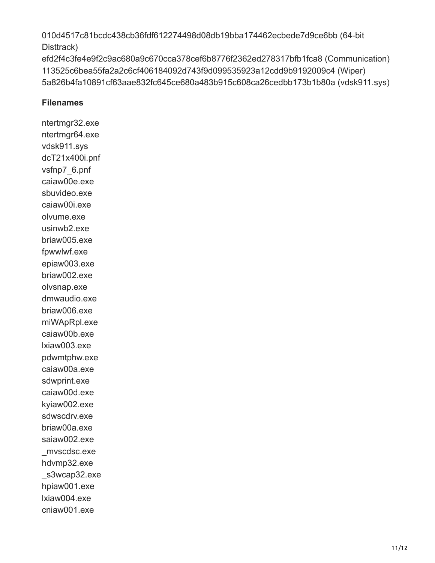010d4517c81bcdc438cb36fdf612274498d08db19bba174462ecbede7d9ce6bb (64-bit Disttrack) efd2f4c3fe4e9f2c9ac680a9c670cca378cef6b8776f2362ed278317bfb1fca8 (Communication) 113525c6bea55fa2a2c6cf406184092d743f9d099535923a12cdd9b9192009c4 (Wiper) 5a826b4fa10891cf63aae832fc645ce680a483b915c608ca26cedbb173b1b80a (vdsk911.sys)

### **Filenames**

ntertmgr32.exe ntertmgr64.exe vdsk911.sys dcT21x400i.pnf vsfnp7\_6.pnf caiaw00e.exe sbuvideo.exe caiaw00i.exe olvume.exe usinwb2.exe briaw005.exe fpwwlwf.exe epiaw003.exe briaw002.exe olvsnap.exe dmwaudio.exe briaw006.exe miWApRpl.exe caiaw00b.exe lxiaw003.exe pdwmtphw.exe caiaw00a.exe sdwprint.exe caiaw00d.exe kyiaw002.exe sdwscdrv.exe briaw00a.exe saiaw002.exe \_mvscdsc.exe hdvmp32.exe \_s3wcap32.exe hpiaw001.exe lxiaw004.exe cniaw001.exe